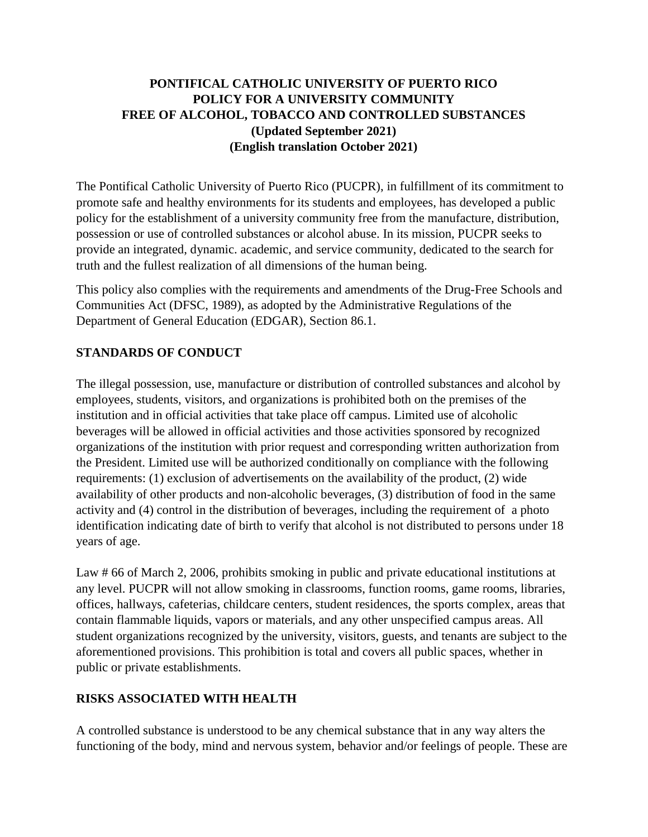# **PONTIFICAL CATHOLIC UNIVERSITY OF PUERTO RICO POLICY FOR A UNIVERSITY COMMUNITY FREE OF ALCOHOL, TOBACCO AND CONTROLLED SUBSTANCES (Updated September 2021) (English translation October 2021)**

The Pontifical Catholic University of Puerto Rico (PUCPR), in fulfillment of its commitment to promote safe and healthy environments for its students and employees, has developed a public policy for the establishment of a university community free from the manufacture, distribution, possession or use of controlled substances or alcohol abuse. In its mission, PUCPR seeks to provide an integrated, dynamic. academic, and service community, dedicated to the search for truth and the fullest realization of all dimensions of the human being.

This policy also complies with the requirements and amendments of the Drug-Free Schools and Communities Act (DFSC, 1989), as adopted by the Administrative Regulations of the Department of General Education (EDGAR), Section 86.1.

# **STANDARDS OF CONDUCT**

The illegal possession, use, manufacture or distribution of controlled substances and alcohol by employees, students, visitors, and organizations is prohibited both on the premises of the institution and in official activities that take place off campus. Limited use of alcoholic beverages will be allowed in official activities and those activities sponsored by recognized organizations of the institution with prior request and corresponding written authorization from the President. Limited use will be authorized conditionally on compliance with the following requirements: (1) exclusion of advertisements on the availability of the product, (2) wide availability of other products and non-alcoholic beverages, (3) distribution of food in the same activity and (4) control in the distribution of beverages, including the requirement of a photo identification indicating date of birth to verify that alcohol is not distributed to persons under 18 years of age.

Law # 66 of March 2, 2006, prohibits smoking in public and private educational institutions at any level. PUCPR will not allow smoking in classrooms, function rooms, game rooms, libraries, offices, hallways, cafeterias, childcare centers, student residences, the sports complex, areas that contain flammable liquids, vapors or materials, and any other unspecified campus areas. All student organizations recognized by the university, visitors, guests, and tenants are subject to the aforementioned provisions. This prohibition is total and covers all public spaces, whether in public or private establishments.

### **RISKS ASSOCIATED WITH HEALTH**

A controlled substance is understood to be any chemical substance that in any way alters the functioning of the body, mind and nervous system, behavior and/or feelings of people. These are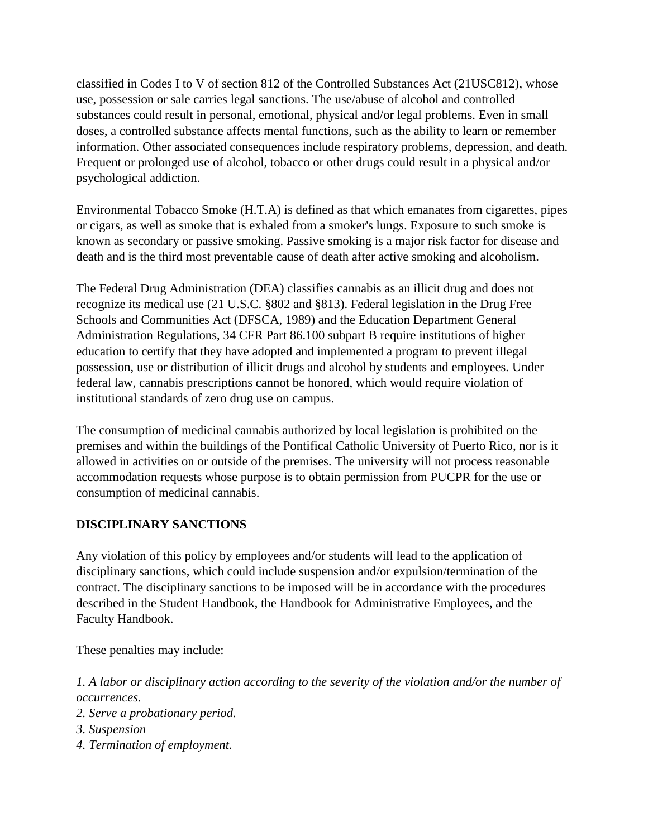classified in Codes I to V of section 812 of the Controlled Substances Act (21USC812), whose use, possession or sale carries legal sanctions. The use/abuse of alcohol and controlled substances could result in personal, emotional, physical and/or legal problems. Even in small doses, a controlled substance affects mental functions, such as the ability to learn or remember information. Other associated consequences include respiratory problems, depression, and death. Frequent or prolonged use of alcohol, tobacco or other drugs could result in a physical and/or psychological addiction.

Environmental Tobacco Smoke (H.T.A) is defined as that which emanates from cigarettes, pipes or cigars, as well as smoke that is exhaled from a smoker's lungs. Exposure to such smoke is known as secondary or passive smoking. Passive smoking is a major risk factor for disease and death and is the third most preventable cause of death after active smoking and alcoholism.

The Federal Drug Administration (DEA) classifies cannabis as an illicit drug and does not recognize its medical use (21 U.S.C. §802 and §813). Federal legislation in the Drug Free Schools and Communities Act (DFSCA, 1989) and the Education Department General Administration Regulations, 34 CFR Part 86.100 subpart B require institutions of higher education to certify that they have adopted and implemented a program to prevent illegal possession, use or distribution of illicit drugs and alcohol by students and employees. Under federal law, cannabis prescriptions cannot be honored, which would require violation of institutional standards of zero drug use on campus.

The consumption of medicinal cannabis authorized by local legislation is prohibited on the premises and within the buildings of the Pontifical Catholic University of Puerto Rico, nor is it allowed in activities on or outside of the premises. The university will not process reasonable accommodation requests whose purpose is to obtain permission from PUCPR for the use or consumption of medicinal cannabis.

### **DISCIPLINARY SANCTIONS**

Any violation of this policy by employees and/or students will lead to the application of disciplinary sanctions, which could include suspension and/or expulsion/termination of the contract. The disciplinary sanctions to be imposed will be in accordance with the procedures described in the Student Handbook, the Handbook for Administrative Employees, and the Faculty Handbook.

These penalties may include:

*1. A labor or disciplinary action according to the severity of the violation and/or the number of occurrences.*

- *2. Serve a probationary period.*
- *3. Suspension*
- *4. Termination of employment.*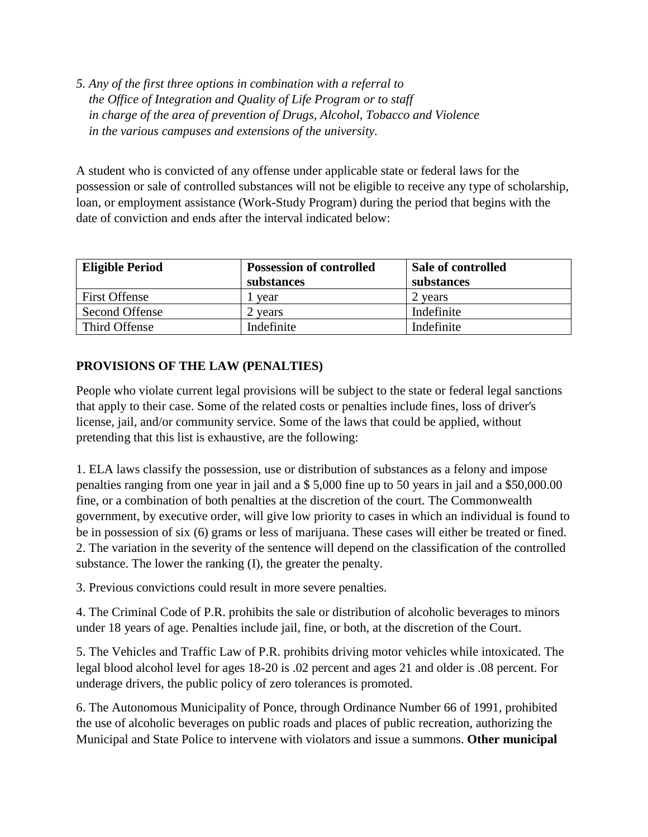*5. Any of the first three options in combination with a referral to the Office of Integration and Quality of Life Program or to staff in charge of the area of prevention of Drugs, Alcohol, Tobacco and Violence in the various campuses and extensions of the university.*

A student who is convicted of any offense under applicable state or federal laws for the possession or sale of controlled substances will not be eligible to receive any type of scholarship, loan, or employment assistance (Work-Study Program) during the period that begins with the date of conviction and ends after the interval indicated below:

| <b>Eligible Period</b> | <b>Possession of controlled</b> | Sale of controlled |
|------------------------|---------------------------------|--------------------|
|                        | substances                      | substances         |
| <b>First Offense</b>   | year                            | 2 years            |
| Second Offense         | 2 vears                         | Indefinite         |
| Third Offense          | Indefinite                      | Indefinite         |

# **PROVISIONS OF THE LAW (PENALTIES)**

People who violate current legal provisions will be subject to the state or federal legal sanctions that apply to their case. Some of the related costs or penalties include fines, loss of driver's license, jail, and/or community service. Some of the laws that could be applied, without pretending that this list is exhaustive, are the following:

1. ELA laws classify the possession, use or distribution of substances as a felony and impose penalties ranging from one year in jail and a \$ 5,000 fine up to 50 years in jail and a \$50,000.00 fine, or a combination of both penalties at the discretion of the court. The Commonwealth government, by executive order, will give low priority to cases in which an individual is found to be in possession of six (6) grams or less of marijuana. These cases will either be treated or fined. 2. The variation in the severity of the sentence will depend on the classification of the controlled substance. The lower the ranking (I), the greater the penalty.

3. Previous convictions could result in more severe penalties.

4. The Criminal Code of P.R. prohibits the sale or distribution of alcoholic beverages to minors under 18 years of age. Penalties include jail, fine, or both, at the discretion of the Court.

5. The Vehicles and Traffic Law of P.R. prohibits driving motor vehicles while intoxicated. The legal blood alcohol level for ages 18-20 is .02 percent and ages 21 and older is .08 percent. For underage drivers, the public policy of zero tolerances is promoted.

6. The Autonomous Municipality of Ponce, through Ordinance Number 66 of 1991, prohibited the use of alcoholic beverages on public roads and places of public recreation, authorizing the Municipal and State Police to intervene with violators and issue a summons. **Other municipal**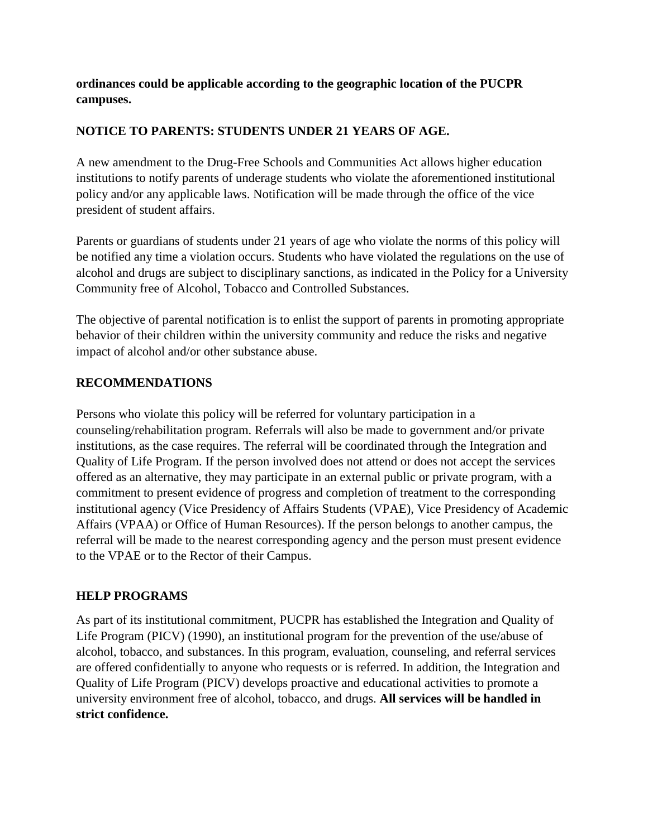**ordinances could be applicable according to the geographic location of the PUCPR campuses.**

## **NOTICE TO PARENTS: STUDENTS UNDER 21 YEARS OF AGE.**

A new amendment to the Drug-Free Schools and Communities Act allows higher education institutions to notify parents of underage students who violate the aforementioned institutional policy and/or any applicable laws. Notification will be made through the office of the vice president of student affairs.

Parents or guardians of students under 21 years of age who violate the norms of this policy will be notified any time a violation occurs. Students who have violated the regulations on the use of alcohol and drugs are subject to disciplinary sanctions, as indicated in the Policy for a University Community free of Alcohol, Tobacco and Controlled Substances.

The objective of parental notification is to enlist the support of parents in promoting appropriate behavior of their children within the university community and reduce the risks and negative impact of alcohol and/or other substance abuse.

## **RECOMMENDATIONS**

Persons who violate this policy will be referred for voluntary participation in a counseling/rehabilitation program. Referrals will also be made to government and/or private institutions, as the case requires. The referral will be coordinated through the Integration and Quality of Life Program. If the person involved does not attend or does not accept the services offered as an alternative, they may participate in an external public or private program, with a commitment to present evidence of progress and completion of treatment to the corresponding institutional agency (Vice Presidency of Affairs Students (VPAE), Vice Presidency of Academic Affairs (VPAA) or Office of Human Resources). If the person belongs to another campus, the referral will be made to the nearest corresponding agency and the person must present evidence to the VPAE or to the Rector of their Campus.

# **HELP PROGRAMS**

As part of its institutional commitment, PUCPR has established the Integration and Quality of Life Program (PICV) (1990), an institutional program for the prevention of the use/abuse of alcohol, tobacco, and substances. In this program, evaluation, counseling, and referral services are offered confidentially to anyone who requests or is referred. In addition, the Integration and Quality of Life Program (PICV) develops proactive and educational activities to promote a university environment free of alcohol, tobacco, and drugs. **All services will be handled in strict confidence.**